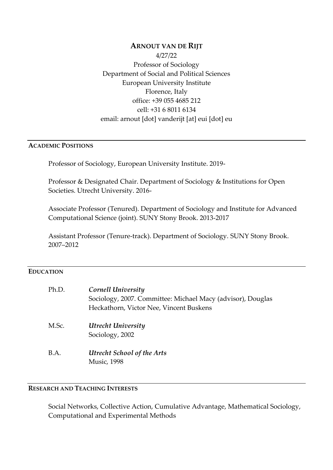# **ARNOUT VAN DE RIJT** 4/27/22 Professor of Sociology Department of Social and Political Sciences European University Institute Florence, Italy office: +39 055 4685 212 cell: +31 6 8011 6134 email: arnout [dot] vanderijt [at] eui [dot] eu

#### **ACADEMIC POSITIONS**

Professor of Sociology, European University Institute. 2019-

Professor & Designated Chair. Department of Sociology & Institutions for Open Societies. Utrecht University. 2016-

Associate Professor (Tenured). Department of Sociology and Institute for Advanced Computational Science (joint). SUNY Stony Brook. 2013-2017

Assistant Professor (Tenure-track). Department of Sociology. SUNY Stony Brook. 2007–2012

### **EDUCATION**

| Ph.D. | Cornell University<br>Sociology, 2007. Committee: Michael Macy (advisor), Douglas<br>Heckathorn, Victor Nee, Vincent Buskens |
|-------|------------------------------------------------------------------------------------------------------------------------------|
| M.Sc. | Utrecht University<br>Sociology, 2002                                                                                        |
| B.A.  | <b>Utrecht School of the Arts</b><br><b>Music</b> , 1998                                                                     |

# **RESEARCH AND TEACHING INTERESTS**

Social Networks, Collective Action, Cumulative Advantage, Mathematical Sociology, Computational and Experimental Methods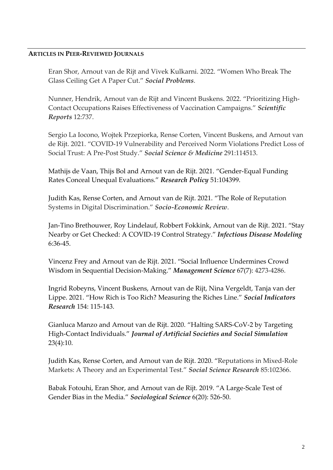### **ARTICLES IN PEER-REVIEWED JOURNALS**

Eran Shor, Arnout van de Rijt and Vivek Kulkarni. 2022. "Women Who Break The Glass Ceiling Get A Paper Cut." *Social Problems*.

Nunner, Hendrik, Arnout van de Rijt and Vincent Buskens. 2022. "Prioritizing High-Contact Occupations Raises Effectiveness of Vaccination Campaigns." *Scientific Reports* 12:737.

Sergio La Iocono, Wojtek Przepiorka, Rense Corten, Vincent Buskens, and Arnout van de Rijt. 2021. "COVID-19 Vulnerability and Perceived Norm Violations Predict Loss of Social Trust: A Pre-Post Study." *Social Science & Medicine* 291:114513.

Mathijs de Vaan, Thijs Bol and Arnout van de Rijt. 2021. "Gender-Equal Funding Rates Conceal Unequal Evaluations." *Research Policy* 51:104399.

Judith Kas, Rense Corten, and Arnout van de Rijt. 2021. "The Role of Reputation Systems in Digital Discrimination." *Socio-Economic Review*.

Jan-Tino Brethouwer, Roy Lindelauf, Robbert Fokkink, Arnout van de Rijt. 2021. "Stay Nearby or Get Checked: A COVID-19 Control Strategy." *Infectious Disease Modeling* 6:36-45.

Vincenz Frey and Arnout van de Rijt. 2021. "Social Influence Undermines Crowd Wisdom in Sequential Decision-Making." *Management Science* 67(7): 4273-4286.

Ingrid Robeyns, Vincent Buskens, Arnout van de Rijt, Nina Vergeldt, Tanja van der Lippe. 2021. "How Rich is Too Rich? Measuring the Riches Line." *Social Indicators Research* 154: 115-143.

Gianluca Manzo and Arnout van de Rijt. 2020. "Halting SARS-CoV-2 by Targeting High-Contact Individuals." *Journal of Artificial Societies and Social Simulation* 23(4):10.

Judith Kas, Rense Corten, and Arnout van de Rijt. 2020. "Reputations in Mixed-Role Markets: A Theory and an Experimental Test." *Social Science Research* 85:102366.

Babak Fotouhi, Eran Shor, and Arnout van de Rijt. 2019. "A Large-Scale Test of Gender Bias in the Media." *Sociological Science* 6(20): 526-50.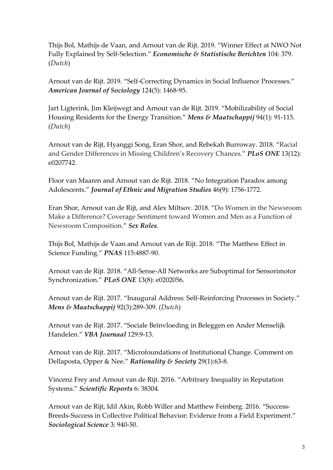Thijs Bol, Mathijs de Vaan, and Arnout van de Rijt. 2019. "Winner Effect at NWO Not Fully Explained by Self-Selection." *Economische & Statistische Berichten* 104: 379. (*Dutch*)

Arnout van de Rijt. 2019. "Self-Correcting Dynamics in Social Influence Processes." *American Journal of Sociology* 124(5): 1468-95.

Jart Ligterink, Jim Kleijwegt and Arnout van de Rijt. 2019. "Mobilizability of Social Housing Residents for the Energy Transition." *Mens & Maatschappij* 94(1): 91-115. (*Dutch*)

Arnout van de Rijt, Hyanggi Song, Eran Shor, and Rebekah Burroway. 2018. "Racial and Gender Differences in Missing Children's Recovery Chances." *PLoS ONE* 13(12): e0207742

Floor van Maaren and Arnout van de Rijt. 2018. "No Integration Paradox among Adolescents." *Journal of Ethnic and Migration Studies* 46(9): 1756-1772.

Eran Shor, Arnout van de Rijt, and Alex Miltsov. 2018. "Do Women in the Newsroom Make a Difference? Coverage Sentiment toward Women and Men as a Function of Newsroom Composition." *Sex Roles*.

Thijs Bol, Mathijs de Vaan and Arnout van de Rijt. 2018. "The Matthew Effect in Science Funding." *PNAS* 115:4887-90.

Arnout van de Rijt. 2018. "All-Sense-All Networks are Suboptimal for Sensorimotor Synchronization." *PLoS ONE* 13(8): e0202056.

Arnout van de Rijt. 2017. "Inaugural Address: Self-Reinforcing Processes in Society." *Mens & Maatschappij* 92(3):289-309. (*Dutch*)

Arnout van de Rijt. 2017. "Sociale Beïnvloeding in Beleggen en Ander Menselijk Handelen." *VBA Journaal* 129:9-13.

Arnout van de Rijt. 2017. "Microfoundations of Institutional Change. Comment on Dellaposta, Opper & Nee." *Rationality & Society* 29(1):63-8.

Vincenz Frey and Arnout van de Rijt. 2016. "Arbitrary Inequality in Reputation Systems." *Scientific Reports* 6: 38304.

Arnout van de Rijt, Idil Akin, Robb Willer and Matthew Feinberg. 2016. "Success-Breeds-Success in Collective Political Behavior: Evidence from a Field Experiment." *Sociological Science* 3: 940-50.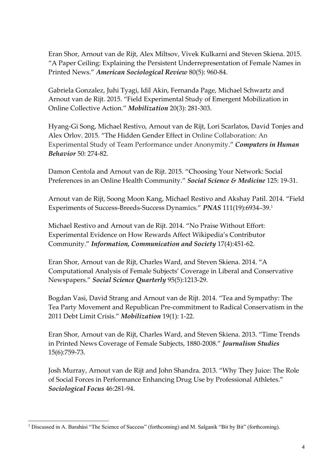Eran Shor, Arnout van de Rijt, Alex Miltsov, Vivek Kulkarni and Steven Skiena. 2015. "A Paper Ceiling: Explaining the Persistent Underrepresentation of Female Names in Printed News." *American Sociological Review* 80(5): 960-84.

Gabriela Gonzalez, Juhi Tyagi, Idil Akin, Fernanda Page, Michael Schwartz and Arnout van de Rijt. 2015. "Field Experimental Study of Emergent Mobilization in Online Collective Action." *Mobilization* 20(3): 281-303.

Hyang-Gi Song, Michael Restivo, Arnout van de Rijt, Lori Scarlatos, David Tonjes and Alex Orlov. 2015. "The Hidden Gender Effect in Online Collaboration: An Experimental Study of Team Performance under Anonymity." *Computers in Human Behavior* 50: 274-82.

Damon Centola and Arnout van de Rijt. 2015. "Choosing Your Network: Social Preferences in an Online Health Community." *Social Science & Medicine* 125: 19-31.

Arnout van de Rijt, Soong Moon Kang, Michael Restivo and Akshay Patil. 2014. "Field Experiments of Success-Breeds-Success Dynamics." *PNAS* 111(19):6934–39. 1

Michael Restivo and Arnout van de Rijt. 2014. "No Praise Without Effort: Experimental Evidence on How Rewards Affect Wikipedia's Contributor Community." *Information, Communication and Society* 17(4):451-62.

Eran Shor, Arnout van de Rijt, Charles Ward, and Steven Skiena. 2014. "A Computational Analysis of Female Subjects' Coverage in Liberal and Conservative Newspapers." *Social Science Quarterly* 95(5):1213-29.

Bogdan Vasi, David Strang and Arnout van de Rijt. 2014. "Tea and Sympathy: The Tea Party Movement and Republican Pre-commitment to Radical Conservatism in the 2011 Debt Limit Crisis." *Mobilization* 19(1): 1-22.

Eran Shor, Arnout van de Rijt, Charles Ward, and Steven Skiena. 2013. "Time Trends in Printed News Coverage of Female Subjects, 1880-2008." *Journalism Studies* 15(6):759-73.

Josh Murray, Arnout van de Rijt and John Shandra. 2013. "Why They Juice: The Role of Social Forces in Performance Enhancing Drug Use by Professional Athletes." *Sociological Focus* 46:281-94.

<sup>&</sup>lt;sup>1</sup> Discussed in A. Barabási "The Science of Success" (forthcoming) and M. Salganik "Bit by Bit" (forthcoming).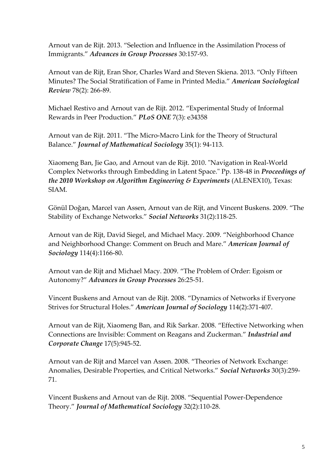Arnout van de Rijt. 2013. "Selection and Influence in the Assimilation Process of Immigrants." *Advances in Group Processes* 30:157-93.

Arnout van de Rijt, Eran Shor, Charles Ward and Steven Skiena. 2013. "Only Fifteen Minutes? The Social Stratification of Fame in Printed Media." *American Sociological Review* 78(2): 266-89.

Michael Restivo and Arnout van de Rijt. 2012. "Experimental Study of Informal Rewards in Peer Production." *PLoS ONE* 7(3): e34358

Arnout van de Rijt. 2011. "The Micro-Macro Link for the Theory of Structural Balance." *Journal of Mathematical Sociology* 35(1): 94-113.

Xiaomeng Ban, Jie Gao, and Arnout van de Rijt. 2010. "Navigation in Real-World Complex Networks through Embedding in Latent Space." Pp. 138-48 in *Proceedings of the 2010 Workshop on Algorithm Engineering & Experiments* (ALENEX10), Texas: SIAM.

Gönül Doğan, Marcel van Assen, Arnout van de Rijt, and Vincent Buskens. 2009. "The Stability of Exchange Networks." *Social Networks* 31(2):118-25.

Arnout van de Rijt, David Siegel, and Michael Macy. 2009. "Neighborhood Chance and Neighborhood Change: Comment on Bruch and Mare." *American Journal of Sociology* 114(4):1166-80.

Arnout van de Rijt and Michael Macy. 2009. "The Problem of Order: Egoism or Autonomy?" *Advances in Group Processes* 26:25-51.

Vincent Buskens and Arnout van de Rijt. 2008. "Dynamics of Networks if Everyone Strives for Structural Holes." *American Journal of Sociology* 114(2):371-407.

Arnout van de Rijt, Xiaomeng Ban, and Rik Sarkar. 2008. "Effective Networking when Connections are Invisible: Comment on Reagans and Zuckerman." *Industrial and Corporate Change* 17(5):945-52.

Arnout van de Rijt and Marcel van Assen. 2008. "Theories of Network Exchange: Anomalies, Desirable Properties, and Critical Networks." *Social Networks* 30(3):259- 71.

Vincent Buskens and Arnout van de Rijt. 2008. "Sequential Power-Dependence Theory." *Journal of Mathematical Sociology* 32(2):110-28.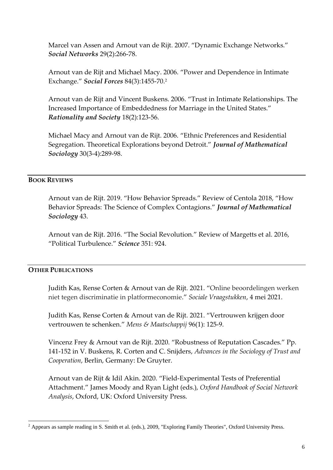Marcel van Assen and Arnout van de Rijt. 2007. "Dynamic Exchange Networks." *Social Networks* 29(2):266-78.

Arnout van de Rijt and Michael Macy. 2006. "Power and Dependence in Intimate Exchange." *Social Forces* 84(3):1455-70.<sup>2</sup>

Arnout van de Rijt and Vincent Buskens. 2006. "Trust in Intimate Relationships. The Increased Importance of Embeddedness for Marriage in the United States." *Rationality and Society* 18(2):123-56.

Michael Macy and Arnout van de Rijt. 2006. "Ethnic Preferences and Residential Segregation. Theoretical Explorations beyond Detroit." *Journal of Mathematical Sociology* 30(3-4):289-98.

### **BOOK REVIEWS**

Arnout van de Rijt. 2019. "How Behavior Spreads." Review of Centola 2018, "How Behavior Spreads: The Science of Complex Contagions." *Journal of Mathematical Sociology* 43.

Arnout van de Rijt. 2016. "The Social Revolution." Review of Margetts et al. 2016, "Political Turbulence." *Science* 351: 924.

### **OTHER PUBLICATIONS**

Judith Kas, Rense Corten & Arnout van de Rijt. 2021. "Online beoordelingen werken niet tegen discriminatie in platformeconomie." *Sociale Vraagstukken*, 4 mei 2021.

Judith Kas, Rense Corten & Arnout van de Rijt. 2021. "Vertrouwen krijgen door vertrouwen te schenken." *Mens & Maatschappij* 96(1): 125-9.

Vincenz Frey & Arnout van de Rijt. 2020. "Robustness of Reputation Cascades." Pp. 141-152 in V. Buskens, R. Corten and C. Snijders, *Advances in the Sociology of Trust and Cooperation*, Berlin, Germany: De Gruyter.

Arnout van de Rijt & Idil Akin. 2020. "Field-Experimental Tests of Preferential Attachment." James Moody and Ryan Light (eds.), *Oxford Handbook of Social Network Analysis*, Oxford, UK: Oxford University Press.

 $2$  Appears as sample reading in S. Smith et al. (eds.), 2009, "Exploring Family Theories", Oxford University Press.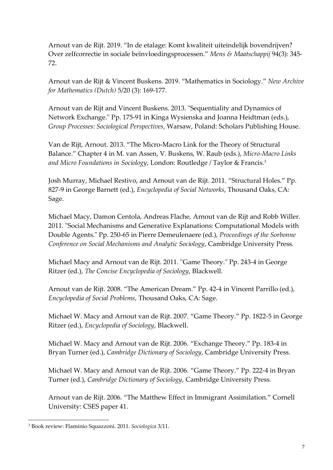Arnout van de Rijt. 2019. "In de etalage: Komt kwaliteit uiteindelijk bovendrijven? Over zelfcorrectie in sociale beïnvloedingsprocessen." *Mens & Maatschappij* 94(3): 345- 72.

Arnout van de Rijt & Vincent Buskens. 2019. "Mathematics in Sociology." *New Archive for Mathematics (Dutch)* 5/20 (3): 169-177.

Arnout van de Rijt and Vincent Buskens. 2013. "Sequentiality and Dynamics of Network Exchange." Pp. 175-91 in Kinga Wysienska and Joanna Heidtman (eds.), *Group Processes*: *Sociological Perspectives*, Warsaw, Poland: Scholars Publishing House.

Van de Rijt, Arnout. 2013. "The Micro-Macro Link for the Theory of Structural Balance." Chapter 4 in M. van Assen, V. Buskens, W. Raub (eds.), *Micro-Macro Links and Micro Foundations in Sociology*, London: Routledge / Taylor & Francis.<sup>3</sup>

Josh Murray, Michael Restivo, and Arnout van de Rijt. 2011. "Structural Holes." Pp. 827-9 in George Barnett (ed.), *Encyclopedia of Social Networks*, Thousand Oaks, CA: Sage.

Michael Macy, Damon Centola, Andreas Flache, Arnout van de Rijt and Robb Willer. 2011. "Social Mechanisms and Generative Explanations: Computational Models with Double Agents." Pp. 250-65 in Pierre Demeulenaere (ed.), *Proceedings of the Sorbonne Conference on Social Mechanisms and Analytic Sociology*, Cambridge University Press.

Michael Macy and Arnout van de Rijt. 2011. "Game Theory." Pp. 243-4 in George Ritzer (ed.), *The Concise Encyclopedia of Sociology*, Blackwell.

Arnout van de Rijt. 2008. "The American Dream." Pp. 42-4 in Vincent Parrillo (ed.), *Encyclopedia of Social Problems*, Thousand Oaks, CA: Sage.

Michael W. Macy and Arnout van de Rijt. 2007. "Game Theory." Pp. 1822-5 in George Ritzer (ed.), *Encyclopedia of Sociology*, Blackwell.

Michael W. Macy and Arnout van de Rijt. 2006. "Exchange Theory." Pp. 183-4 in Bryan Turner (ed.), *Cambridge Dictionary of Sociology*, Cambridge University Press.

Michael W. Macy and Arnout van de Rijt. 2006. "Game Theory." Pp. 222-4 in Bryan Turner (ed.), *Cambridge Dictionary of Sociology*, Cambridge University Press.

Arnout van de Rijt. 2006. "The Matthew Effect in Immigrant Assimilation." Cornell University: CSES paper 41.

<sup>3</sup> Book review: Flaminio Squazzoni. 2011. *Sociologica* 3/11.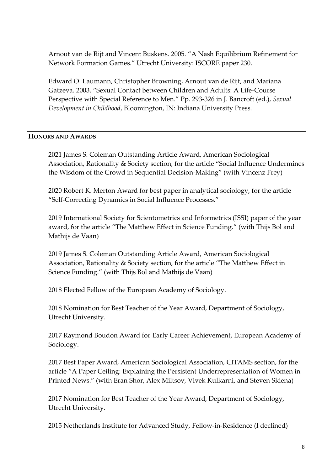Arnout van de Rijt and Vincent Buskens. 2005. "A Nash Equilibrium Refinement for Network Formation Games." Utrecht University: ISCORE paper 230.

Edward O. Laumann, Christopher Browning, Arnout van de Rijt, and Mariana Gatzeva. 2003. "Sexual Contact between Children and Adults: A Life-Course Perspective with Special Reference to Men." Pp. 293-326 in J. Bancroft (ed.), *Sexual Development in Childhood*, Bloomington, IN: Indiana University Press.

## **HONORS AND AWARDS**

2021 James S. Coleman Outstanding Article Award, American Sociological Association, Rationality & Society section, for the article "Social Influence Undermines the Wisdom of the Crowd in Sequential Decision-Making" (with Vincenz Frey)

2020 Robert K. Merton Award for best paper in analytical sociology, for the article "Self-Correcting Dynamics in Social Influence Processes."

2019 International Society for Scientometrics and Informetrics (ISSI) paper of the year award, for the article "The Matthew Effect in Science Funding." (with Thijs Bol and Mathijs de Vaan)

2019 James S. Coleman Outstanding Article Award, American Sociological Association, Rationality & Society section, for the article "The Matthew Effect in Science Funding." (with Thijs Bol and Mathijs de Vaan)

2018 Elected Fellow of the European Academy of Sociology.

2018 Nomination for Best Teacher of the Year Award, Department of Sociology, Utrecht University.

2017 Raymond Boudon Award for Early Career Achievement, European Academy of Sociology.

2017 Best Paper Award, American Sociological Association, CITAMS section, for the article "A Paper Ceiling: Explaining the Persistent Underrepresentation of Women in Printed News." (with Eran Shor, Alex Miltsov, Vivek Kulkarni, and Steven Skiena)

2017 Nomination for Best Teacher of the Year Award, Department of Sociology, Utrecht University.

2015 Netherlands Institute for Advanced Study, Fellow-in-Residence (I declined)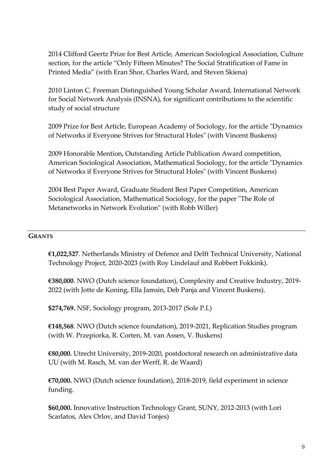2014 Clifford Geertz Prize for Best Article, American Sociological Association, Culture section, for the article "Only Fifteen Minutes? The Social Stratification of Fame in Printed Media" (with Eran Shor, Charles Ward, and Steven Skiena)

2010 Linton C. Freeman Distinguished Young Scholar Award, International Network for Social Network Analysis (INSNA), for significant contributions to the scientific study of social structure

2009 Prize for Best Article, European Academy of Sociology, for the article "Dynamics of Networks if Everyone Strives for Structural Holes" (with Vincent Buskens)

2009 Honorable Mention, Outstanding Article Publication Award competition, American Sociological Association, Mathematical Sociology, for the article "Dynamics of Networks if Everyone Strives for Structural Holes" (with Vincent Buskens)

2004 Best Paper Award, Graduate Student Best Paper Competition, American Sociological Association, Mathematical Sociology, for the paper "The Role of Metanetworks in Network Evolution" (with Robb Willer)

### **GRANTS**

**€1,022,527**. Netherlands Ministry of Defence and Delft Technical University, National Technology Project, 2020-2023 (with Roy Lindelauf and Robbert Fokkink).

**€380,000**. NWO (Dutch science foundation), Complexity and Creative Industry, 2019- 2022 (with Jotte de Koning, Ella Jamsin, Deb Panja and Vincent Buskens).

**\$274,769.** NSF, Sociology program, 2013-2017 (Sole P.I.)

**€148,568**. NWO (Dutch science foundation), 2019-2021, Replication Studies program (with W. Przepiorka, R. Corten, M. van Assen, V. Buskens)

**€80,000.** Utrecht University, 2019-2020, postdoctoral research on administrative data UU (with M. Rasch, M. van der Werff, R. de Waard)

**€70,000.** NWO (Dutch science foundation), 2018-2019, field experiment in science funding.

**\$60,000.** Innovative Instruction Technology Grant, SUNY, 2012-2013 (with Lori Scarlatos, Alex Orlov, and David Tonjes)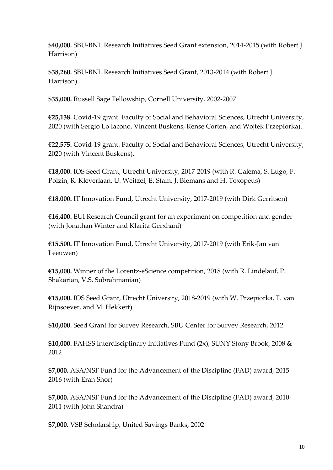**\$40,000.** SBU-BNL Research Initiatives Seed Grant extension, 2014-2015 (with Robert J. Harrison)

**\$38,260.** SBU-BNL Research Initiatives Seed Grant, 2013-2014 (with Robert J. Harrison).

**\$35,000.** Russell Sage Fellowship, Cornell University, 2002-2007

**€25,138.** Covid-19 grant. Faculty of Social and Behavioral Sciences, Utrecht University, 2020 (with Sergio Lo Iacono, Vincent Buskens, Rense Corten, and Wojtek Przepiorka).

**€22,575.** Covid-19 grant. Faculty of Social and Behavioral Sciences, Utrecht University, 2020 (with Vincent Buskens).

**€18,000.** IOS Seed Grant, Utrecht University, 2017-2019 (with R. Galema, S. Lugo, F. Polzin, R. Kleverlaan, U. Weitzel, E. Stam, J. Biemans and H. Toxopeus)

**€18,000.** IT Innovation Fund, Utrecht University, 2017-2019 (with Dirk Gerritsen)

**€16,400.** EUI Research Council grant for an experiment on competition and gender (with Jonathan Winter and Klarita Gerxhani)

**€15,500.** IT Innovation Fund, Utrecht University, 2017-2019 (with Erik-Jan van Leeuwen)

**€15,000.** Winner of the Lorentz-eScience competition, 2018 (with R. Lindelauf, P. Shakarian, V.S. Subrahmanian)

**€15,000.** IOS Seed Grant, Utrecht University, 2018-2019 (with W. Przepiorka, F. van Rijnsoever, and M. Hekkert)

**\$10,000.** Seed Grant for Survey Research, SBU Center for Survey Research, 2012

**\$10,000.** FAHSS Interdisciplinary Initiatives Fund (2x), SUNY Stony Brook, 2008 & 2012

**\$7,000.** ASA/NSF Fund for the Advancement of the Discipline (FAD) award, 2015- 2016 (with Eran Shor)

**\$7,000.** ASA/NSF Fund for the Advancement of the Discipline (FAD) award, 2010- 2011 (with John Shandra)

**\$7,000.** VSB Scholarship, United Savings Banks, 2002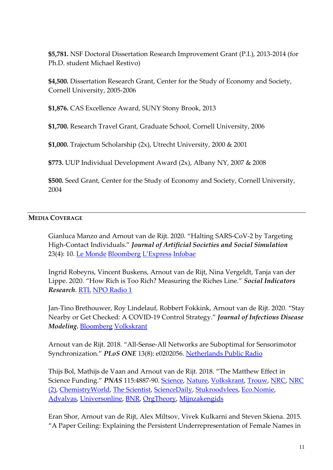**\$5,781.** NSF Doctoral Dissertation Research Improvement Grant (P.I.), 2013-2014 (for Ph.D. student Michael Restivo)

**\$4,500.** Dissertation Research Grant, Center for the Study of Economy and Society, Cornell University, 2005-2006

**\$1,876.** CAS Excellence Award, SUNY Stony Brook, 2013

**\$1,700.** Research Travel Grant, Graduate School, Cornell University, 2006

**\$1,000.** Trajectum Scholarship (2x), Utrecht University, 2000 & 2001

**\$773.** UUP Individual Development Award (2x), Albany NY, 2007 & 2008

**\$500.** Seed Grant, Center for the Study of Economy and Society, Cornell University, 2004

### **MEDIA COVERAGE**

Gianluca Manzo and Arnout van de Rijt. 2020. "Halting SARS-CoV-2 by Targeting High-Contact Individuals." *Journal of Artificial Societies and Social Simulation* 23(4): 10. [Le Monde](https://www.lemonde.fr/sciences/article/2020/11/24/covid-19-le-reseau-social-une-cle-pour-localiser-les-super-contaminateurs_6060964_1650684.html) [Bloomberg](https://www.bloomberg.com/opinion/articles/2020-07-02/the-northeast-s-14-day-quarantines-should-keep-travelers-home) [L'Express](https://www.lexpress.fr/actualite/societe/sante/covid-19-et-supercontaminateurs-ciblons-les-personnes-tres-sociables_2138852.html) [Infobae](https://www.infobae.com/america/mundo/2021/01/30/que-hay-detras-de-los-estallidos-sociales-contra-el-confinamiento-y-el-toque-de-queda-en-holanda/)

Ingrid Robeyns, Vincent Buskens, Arnout van de Rijt, Nina Vergeldt, Tanja van der Lippe. 2020. "How Rich is Too Rich? Measuring the Riches Line." *Social Indicators Research*. [RTL](https://www.rtlnieuws.nl/nieuws/nederland/artikel/5199680/twee-huizen-en-half-miljoen-spaargeld-dat-te-rijk-volgens-nieuw) [NPO Radio 1](https://www.nporadio1.nl/de-nieuws-bv/onderwerpen/68667-2020-11-30-moet-er-na-de-armoedegrens-ook-een-rijkdomsgrens-komen)

Jan-Tino Brethouwer, Roy Lindelauf, Robbert Fokkink, Arnout van de Rijt. 2020. "Stay Nearby or Get Checked: A COVID-19 Control Strategy." *Journal of Infectious Disease Modeling.* [Bloomberg](https://www.bloomberg.com/opinion/articles/2020-04-24/covid-19-science-update-a-second-peak-is-coming) [Volkskrant](https://www.volkskrant.nl/wetenschap/welke-maatregelen-tegen-corona-kunnen-worden-versoepeld-handen-wassen-niet-zoveel-lijkt-zeker~b6ec4223/)

Arnout van de Rijt. 2018. "All-Sense-All Networks are Suboptimal for Sensorimotor Synchronization." *PLoS ONE* 13(8): e0202056. [Netherlands Public Radio](https://www.nporadio1.nl/nieuws-en-co/onderwerpen/470928-raar-maar-waar-muzikanten-die-elkaar-allemaal-horen-spelen-makkelijker-te-snel)

Thijs Bol, Mathijs de Vaan and Arnout van de Rijt. 2018. "The Matthew Effect in Science Funding." *PNAS* 115:4887-90. [Science,](http://www.sciencemag.org/careers/2018/04/training-grant-recipients-are-more-likely-get-future-funding) [Nature,](https://www.nature.com/articles/d41586-018-04958-9) [Volkskrant,](https://beta.volkskrant.nl/wetenschap/duivel-schijt-op-de-grootste-hoop-ook-in-de-wetenschap~bca8903e/) [Trouw,](https://www.trouw.nl/home/jonge-onderzoeker-die-een-beurs-misloopt-heeft-een-loopbaan-lang-last~a355f190/) [NRC,](https://www.nrc.nl/nieuws/2019/02/03/de-roze-bril-van-wetenschapsminister-van-engelshoven-a3652717) [NRC](https://www.nrc.nl/nieuws/2019/02/04/geef-niet-alleen-geld-aan-de-supersterren-a3652834)  [\(2\),](https://www.nrc.nl/nieuws/2019/02/04/geef-niet-alleen-geld-aan-de-supersterren-a3652834) [ChemistryWorld,](https://www.chemistryworld.com/news/the-rich-scientists-get-richer-and-the-poor-get-poorer/3008944.article) [The Scientist,](https://www.the-scientist.com/?articles.view/articleNo/52394/title/Study--Winning-an-Early-Career-Research-Grant-Begets-More-Funding/) [ScienceDaily,](https://www.sciencedaily.com/releases/2018/04/180427100301.htm) [Stukroodvlees,](http://stukroodvlees.nl/mattheuseffecten-verkrijgen-nwo-beurzen/) [Eco.Nomie,](https://eco.nomie.nl/2018/05/van-een-veni-word-je-lui/) [Advalvas,](https://www.advalvas.vu.nl/nieuws/winnaars-onderzoeksbeurs-houden-voorsprong-carriere) [Universonline,](https://universonline.nl/2018/04/24/winnaars-blijven-winnen-wetenschap) [BNR,](https://www.bnr.nl/podcast/wetenschap-vandaag/10343115/mattheus-25-29-geldt-voor-wetenschappers) [OrgTheory,](https://orgtheory.wordpress.com/2018/05/01/socarxiv-highlights-for-april/) [Mijnzakengids](https://www.mijnzakengids.nl/matteuseffect-in-wetenschappelijke-top/)

Eran Shor, Arnout van de Rijt, Alex Miltsov, Vivek Kulkarni and Steven Skiena. 2015. "A Paper Ceiling: Explaining the Persistent Underrepresentation of Female Names in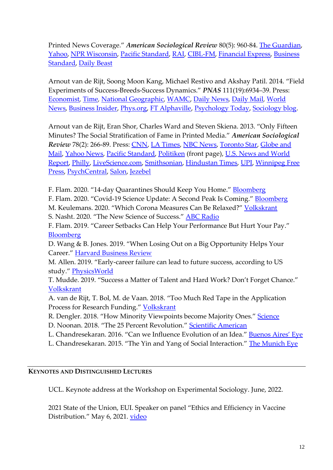Printed News Coverage." *American Sociological Review* 80(5): 960-84. [The Guardian,](http://www.theguardian.com/media/greenslade/2015/oct/02/men-dominate-news-coverage-in-the-us-by-a-factor-of-5-to-1) [Yahoo,](https://in.news.yahoo.com/heres-why-men-continue-dominate-media-coverage-101958429.html) [NPR Wisconsin,](http://www.wpr.org/listen/824046) [Pacific Standard,](http://www.psmag.com/business-economics/dudes-need-to-beat-it) [RAI,](http://www.rainews.it/dl/rainews/articoli/sottorappresentazione-delle-donne-nei-media-0d02012a-e7ae-4168-9982-8b12e266c621.html?refresh_ce) [CIBL-FM,](http://www.cibl1015.com/nouvelles/-/pub/9HcT/content/7739854-les-femmes-sont-moins-citees-dans-les-nouvelles-mediatiques-selon-une-etude) [Financial Express,](http://www.financialexpress.com/article/miscellaneous/heres-why-men-continue-to-dominate-media-coverage/144864/) [Business](https://www.google.com/url?sa=t&rct=j&q=&esrc=s&source=web&cd=14&cad=rja&uact=8&ved=0CDEQFjADOApqFQoTCOfHuoK2pMgCFYFUPgodjNUCgQ&url=http%3A%2F%2Fwww.business-standard.com%2Farticle%2Fnews-ani%2Fhere-s-why-men-continue-to-dominate-media-coverage-11510020046)  [Standard,](https://www.google.com/url?sa=t&rct=j&q=&esrc=s&source=web&cd=14&cad=rja&uact=8&ved=0CDEQFjADOApqFQoTCOfHuoK2pMgCFYFUPgodjNUCgQ&url=http%3A%2F%2Fwww.business-standard.com%2Farticle%2Fnews-ani%2Fhere-s-why-men-continue-to-dominate-media-coverage-11510020046) [Daily Beast](http://www.thedailybeast.com/articles/2015/10/01/media-is-still-for-men-by-men.html)

Arnout van de Rijt, Soong Moon Kang, Michael Restivo and Akshay Patil. 2014. "Field Experiments of Success-Breeds-Success Dynamics." *PNAS* 111(19):6934–39. Press: [Economist](http://www.economist.com/news/science-and-technology/21601494-and-science-has-now-proved-it-nothing-succeeds-success)*,* [Time](http://time.com/80417/this-is-what-actually-predicts-success/)*,* [National Geographic](http://phenomena.nationalgeographic.com/2014/04/28/on-privilege-and-luck-or-why-success-breeds-success/)*,* [WAMC,](http://academicminute.org/2014/09/arnout-van-de-rijt-featured-on-the-best-of-our-knowledge/) [Daily News](http://www.dailynewsen.com/science/success-really-does-breed-success-unique-online-experiments-find-h2481200.html)*,* [Daily Mail](http://www.dailymail.co.uk/sciencetech/article-2615141/Success-really-DOES-breed-success-Achievement-likely-follow-initial-vote-confidence.html)*,* [World](http://article.wn.com/view/2013/10/03/Does_Success_Breed_Success_SBU_Sociology_Professor_Arnout_va/)  [News,](http://article.wn.com/view/2013/10/03/Does_Success_Breed_Success_SBU_Sociology_Professor_Arnout_va/) [Business Insider,](http://www.businessinsider.com.au/the-best-way-to-success-is-to-get-a-little-help-early-on-2014-4) [Phys.org,](http://phys.org/news/2014-04-success-unique-online.html) [FT Alphaville,](http://ftalphaville.ft.com/2014/04/29/1840102/) [Psychology Today,](http://www.psychologytoday.com/blog/brain-sense/201405/does-success-breed-success) [Sociology blog.](https://kieranhealy.org/blog/archives/2014/04/29/success-breeds-success-up-to-a-point/)

Arnout van de Rijt, Eran Shor, Charles Ward and Steven Skiena. 2013. "Only Fifteen Minutes? The Social Stratification of Fame in Printed Media." *American Sociological Review 78(2): 266-89. Press: [CNN,](https://edition.cnn.com/2018/03/16/health/social-media-fame/index.html) [LA Times,](http://www.latimes.com/news/science/sciencenow/la-sci-sn-fame-lasts-20130326,0,2357080.story) [NBC News,](http://www.livescience.com/28247-fame-celebrity-not-fleeting.html) [Toronto Star,](http://www.thestar.com/entertainment/2013/03/28/true_fame_isnt_fleeting_study_says.html) Globe and* [Mail,](http://www.theglobeandmail.com/life/celebrity-news/fame-is-extremely-sticky-not-fleeting-say-researchers/article10483263/) [Yahoo News,](http://news.yahoo.com/lindsay-lohan-stay-fame-not-fleeting-study-finds-112607491.html) [Pacific Standard,](http://www.psmag.com/blogs/news-blog/fame-once-established-is-not-fleeting-56843) [Politiken](http://mysbfiles.stonybrook.edu/~avanderijt/Danish_coverage.pdf) (front page), [U.S. News and World](http://health.usnews.com/health-news/news/articles/2013/03/28/true-fame-endures-study-finds)  [Report,](http://health.usnews.com/health-news/news/articles/2013/03/28/true-fame-endures-study-finds) [Philly,](http://www.philly.com/philly/health/topics/HealthDay674763_20130328_True_Fame_Endures__Study_Finds.html) [LiveScience.com,](http://www.livescience.com/28247-fame-celebrity-not-fleeting.html) [Smithsonian,](http://blogs.smithsonianmag.com/science/2013/03/research-shows-that-true-fame-lasts-longer-than-15-minutes/) [Hindustan Times,](http://www.hindustantimes.com/world-news/NorthAmerica/People-who-are-truly-famous-stay-famous/Article1-1034422.aspx) [UPI,](http://www.upi.com/Health_News/2013/03/31/Once-achieved-true-fame-is-not-fleeting/UPI-69681364756429/?spt=hs&or=hn) [Winnipeg Free](http://www.winnipegfreepress.com/arts-and-life/entertainment/TV/study-says-truly-famous-folks-get-more-than-15-minutes-200830521.html)  [Press,](http://www.winnipegfreepress.com/arts-and-life/entertainment/TV/study-says-truly-famous-folks-get-more-than-15-minutes-200830521.html) [PsychCentral,](http://psychcentral.com/news/2013/04/01/true-fame-passes-the-test-of-time/53294.html) [Salon,](http://www.salon.com/2013/05/06/fame_may_not_last_15_minutes_after_all_partner/) [Jezebel](http://jezebel.com/warhol-was-wrong-once-you-get-famous-you-stay-famous-493737998)

F. Flam. 2020. "14-day Quarantines Should Keep You Home." [Bloomberg](https://www.bloomberg.com/opinion/articles/2020-07-02/the-northeast-s-14-day-quarantines-should-keep-travelers-home)

F. Flam. 2020. "Covid-19 Science Update: A Second Peak Is Coming." [Bloomberg](https://www.bloomberg.com/opinion/articles/2020-04-24/covid-19-science-update-a-second-peak-is-coming)

M. Keulemans. 2020. "Which Corona Measures Can Be Relaxed?" [Volkskrant](https://www.volkskrant.nl/wetenschap/welke-maatregelen-tegen-corona-kunnen-worden-versoepeld-handen-wassen-niet-zoveel-lijkt-zeker~b6ec4223/) S. Nasht. 2020. "The New Science of Success." [ABC Radio](https://www.abc.net.au/radionational/programs/scienceshow/the-new-science-of-success/11928548)

F. Flam. 2019. "Career Setbacks Can Help Your Performance But Hurt Your Pay." [Bloomberg](https://www.bloombergquint.com/gadfly/career-setbacks-can-help-your-performance-but-hurt-your-pay)

D. Wang & B. Jones. 2019. "When Losing Out on a Big Opportunity Helps Your Career." [Harvard Business Review](https://hbr.org/2019/10/research-when-losing-out-on-a-big-opportunity-helps-your-career)

M. Allen. 2019. "Early-career failure can lead to future success, according to US study." [PhysicsWorld](https://physicsworld.com/a/early-career-failure-can-lead-to-future-success-according-to-us-study/)

T. Mudde. 2019. "Success a Matter of Talent and Hard Work? Don't Forget Chance." [Volkskrant](https://www.volkskrant.nl/wetenschap/succes-een-kwestie-van-talent-en-hard-werken-vergeet-het-toeval-niet~b93ea398/)

A. van de Rijt, T. Bol, M. de Vaan. 2018. "Too Much Red Tape in the Application Process for Research Funding." [Volkskrant](https://www.volkskrant.nl/columns-opinie/te-veel-rompslomp-bij-het-aanvragen-van-onderzoeksbeurzen-voor-de-wetenschap-br-~b6aec655/)

R. Dengler. 2018. "How Minority Viewpoints become Majority Ones." [Science](http://www.sciencemag.org/news/2018/06/how-minority-viewpoints-become-majority-ones)

D. Noonan. 2018. "The 25 Percent Revolution." [Scientific American](https://www.scientificamerican.com/article/the-25-revolution-how-big-does-a-minority-have-to-be-to-reshape-society/)

L. Chandresekaran. 2016. "Can we Influence Evolution of an Idea." [Buenos Aires'](https://buenosaireseye.com/can-we-influence-the-evolution-of-an-idea...-3212) Eye

L. Chandresekaran. 2015. "The Yin and Yang of Social Interaction." [The Munich Eye](https://themunicheye.com/the-yin-and-yang-of-social-interaction-3211)

# **KEYNOTES AND DISTINGUISHED LECTURES**

UCL. Keynote address at the Workshop on Experimental Sociology. June, 2022.

2021 State of the Union, EUI. Speaker on panel "Ethics and Efficiency in Vaccine Distribution." May 6, 2021. [video](https://www.youtube.com/watch?v=4r9GXpN7tI0)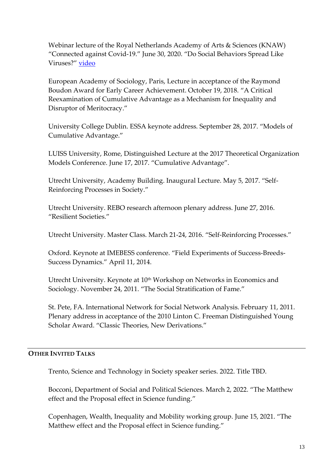Webinar lecture of the Royal Netherlands Academy of Arts & Sciences (KNAW) "Connected against Covid-19." June 30, 2020. "Do Social Behaviors Spread Like Viruses?" [video](https://youtu.be/4Wfrg9vlNaE)

European Academy of Sociology, Paris, Lecture in acceptance of the Raymond Boudon Award for Early Career Achievement. October 19, 2018. "A Critical Reexamination of Cumulative Advantage as a Mechanism for Inequality and Disruptor of Meritocracy."

University College Dublin. ESSA keynote address. September 28, 2017. "Models of Cumulative Advantage."

LUISS University, Rome, Distinguished Lecture at the 2017 Theoretical Organization Models Conference. June 17, 2017. "Cumulative Advantage".

Utrecht University, Academy Building. Inaugural Lecture. May 5, 2017. "Self-Reinforcing Processes in Society."

Utrecht University. REBO research afternoon plenary address. June 27, 2016. "Resilient Societies."

Utrecht University. Master Class. March 21-24, 2016. "Self-Reinforcing Processes."

Oxford. Keynote at IMEBESS conference. "Field Experiments of Success-Breeds-Success Dynamics." April 11, 2014.

Utrecht University. Keynote at 10<sup>th</sup> Workshop on Networks in Economics and Sociology. November 24, 2011. "The Social Stratification of Fame."

St. Pete, FA. International Network for Social Network Analysis. February 11, 2011. Plenary address in acceptance of the 2010 Linton C. Freeman Distinguished Young Scholar Award. "Classic Theories, New Derivations."

### **OTHER INVITED TALKS**

Trento, Science and Technology in Society speaker series. 2022. Title TBD.

Bocconi, Department of Social and Political Sciences. March 2, 2022. "The Matthew effect and the Proposal effect in Science funding."

Copenhagen, Wealth, Inequality and Mobility working group. June 15, 2021. "The Matthew effect and the Proposal effect in Science funding."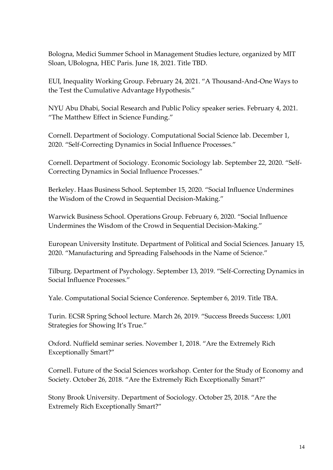Bologna, Medici Summer School in Management Studies lecture, organized by MIT Sloan, UBologna, HEC Paris. June 18, 2021. Title TBD.

EUI, Inequality Working Group. February 24, 2021. "A Thousand-And-One Ways to the Test the Cumulative Advantage Hypothesis."

NYU Abu Dhabi, Social Research and Public Policy speaker series. February 4, 2021. "The Matthew Effect in Science Funding."

Cornell. Department of Sociology. Computational Social Science lab. December 1, 2020. "Self-Correcting Dynamics in Social Influence Processes."

Cornell. Department of Sociology. Economic Sociology lab. September 22, 2020. "Self-Correcting Dynamics in Social Influence Processes."

Berkeley. Haas Business School. September 15, 2020. "Social Influence Undermines the Wisdom of the Crowd in Sequential Decision-Making."

Warwick Business School. Operations Group. February 6, 2020. "Social Influence Undermines the Wisdom of the Crowd in Sequential Decision-Making."

European University Institute. Department of Political and Social Sciences. January 15, 2020. "Manufacturing and Spreading Falsehoods in the Name of Science."

Tilburg. Department of Psychology. September 13, 2019. "Self-Correcting Dynamics in Social Influence Processes."

Yale. Computational Social Science Conference. September 6, 2019. Title TBA.

Turin. ECSR Spring School lecture. March 26, 2019. "Success Breeds Success: 1,001 Strategies for Showing It's True."

Oxford. Nuffield seminar series. November 1, 2018. "Are the Extremely Rich Exceptionally Smart?"

Cornell. Future of the Social Sciences workshop. Center for the Study of Economy and Society. October 26, 2018. "Are the Extremely Rich Exceptionally Smart?"

Stony Brook University. Department of Sociology. October 25, 2018. "Are the Extremely Rich Exceptionally Smart?"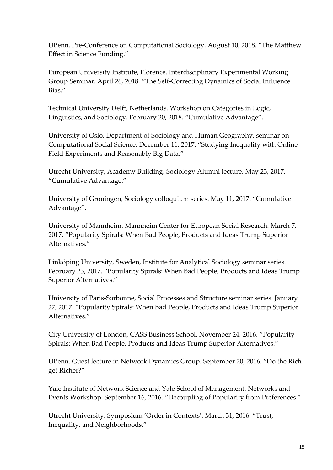UPenn. Pre-Conference on Computational Sociology. August 10, 2018. "The Matthew Effect in Science Funding."

European University Institute, Florence. Interdisciplinary Experimental Working Group Seminar. April 26, 2018. "The Self-Correcting Dynamics of Social Influence Bias."

Technical University Delft, Netherlands. Workshop on Categories in Logic, Linguistics, and Sociology. February 20, 2018. "Cumulative Advantage".

University of Oslo, Department of Sociology and Human Geography, seminar on Computational Social Science. December 11, 2017. "Studying Inequality with Online Field Experiments and Reasonably Big Data."

Utrecht University, Academy Building. Sociology Alumni lecture. May 23, 2017. "Cumulative Advantage."

University of Groningen, Sociology colloquium series. May 11, 2017. "Cumulative Advantage".

University of Mannheim. Mannheim Center for European Social Research. March 7, 2017. "Popularity Spirals: When Bad People, Products and Ideas Trump Superior Alternatives."

Linköping University, Sweden, Institute for Analytical Sociology seminar series. February 23, 2017. "Popularity Spirals: When Bad People, Products and Ideas Trump Superior Alternatives."

University of Paris-Sorbonne, Social Processes and Structure seminar series. January 27, 2017. "Popularity Spirals: When Bad People, Products and Ideas Trump Superior Alternatives."

City University of London, CASS Business School. November 24, 2016. "Popularity Spirals: When Bad People, Products and Ideas Trump Superior Alternatives."

UPenn. Guest lecture in Network Dynamics Group. September 20, 2016. "Do the Rich get Richer?"

Yale Institute of Network Science and Yale School of Management. Networks and Events Workshop. September 16, 2016. "Decoupling of Popularity from Preferences."

Utrecht University. Symposium 'Order in Contexts'. March 31, 2016. "Trust, Inequality, and Neighborhoods."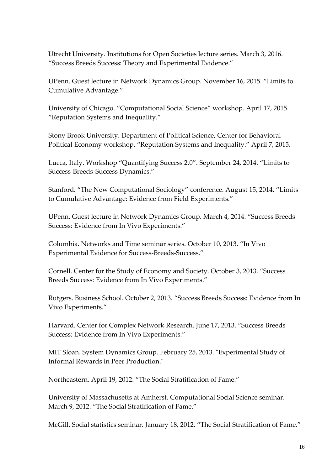Utrecht University. Institutions for Open Societies lecture series. March 3, 2016. "Success Breeds Success: Theory and Experimental Evidence."

UPenn. Guest lecture in Network Dynamics Group. November 16, 2015. "Limits to Cumulative Advantage."

University of Chicago. "Computational Social Science" workshop. April 17, 2015. "Reputation Systems and Inequality."

Stony Brook University. Department of Political Science, Center for Behavioral Political Economy workshop. "Reputation Systems and Inequality." April 7, 2015.

Lucca, Italy. Workshop "Quantifying Success 2.0". September 24, 2014. "Limits to Success-Breeds-Success Dynamics."

Stanford. "The New Computational Sociology" conference. August 15, 2014. "Limits to Cumulative Advantage: Evidence from Field Experiments."

UPenn. Guest lecture in Network Dynamics Group. March 4, 2014. "Success Breeds Success: Evidence from In Vivo Experiments."

Columbia. Networks and Time seminar series. October 10, 2013. "In Vivo Experimental Evidence for Success-Breeds-Success."

Cornell. Center for the Study of Economy and Society. October 3, 2013. "Success Breeds Success: Evidence from In Vivo Experiments."

Rutgers. Business School. October 2, 2013. "Success Breeds Success: Evidence from In Vivo Experiments."

Harvard. Center for Complex Network Research. June 17, 2013. "Success Breeds Success: Evidence from In Vivo Experiments."

MIT Sloan. System Dynamics Group. February 25, 2013. "Experimental Study of Informal Rewards in Peer Production."

Northeastern. April 19, 2012. "The Social Stratification of Fame."

University of Massachusetts at Amherst. Computational Social Science seminar. March 9, 2012. "The Social Stratification of Fame."

McGill. Social statistics seminar. January 18, 2012. "The Social Stratification of Fame."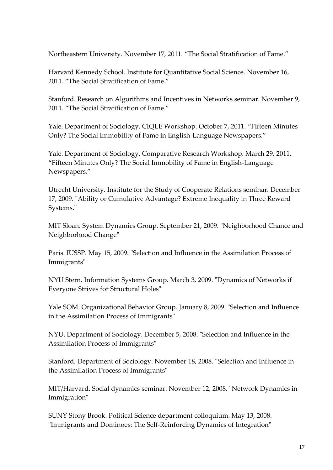Northeastern University. November 17, 2011. "The Social Stratification of Fame."

Harvard Kennedy School. Institute for Quantitative Social Science. November 16, 2011. "The Social Stratification of Fame."

Stanford. Research on Algorithms and Incentives in Networks seminar. November 9, 2011. "The Social Stratification of Fame."

Yale. Department of Sociology. CIQLE Workshop. October 7, 2011. "Fifteen Minutes Only? The Social Immobility of Fame in English-Language Newspapers."

Yale. Department of Sociology. Comparative Research Workshop. March 29, 2011. "Fifteen Minutes Only? The Social Immobility of Fame in English-Language Newspapers."

Utrecht University. Institute for the Study of Cooperate Relations seminar. December 17, 2009. "Ability or Cumulative Advantage? Extreme Inequality in Three Reward Systems."

MIT Sloan. System Dynamics Group. September 21, 2009. "Neighborhood Chance and Neighborhood Change"

Paris. IUSSP. May 15, 2009. "Selection and Influence in the Assimilation Process of Immigrants"

NYU Stern. Information Systems Group. March 3, 2009. "Dynamics of Networks if Everyone Strives for Structural Holes"

Yale SOM. Organizational Behavior Group. January 8, 2009. "Selection and Influence in the Assimilation Process of Immigrants"

NYU. Department of Sociology. December 5, 2008. "Selection and Influence in the Assimilation Process of Immigrants"

Stanford. Department of Sociology. November 18, 2008. "Selection and Influence in the Assimilation Process of Immigrants"

MIT/Harvard. Social dynamics seminar. November 12, 2008. "Network Dynamics in Immigration"

SUNY Stony Brook. Political Science department colloquium. May 13, 2008. "Immigrants and Dominoes: The Self-Reinforcing Dynamics of Integration"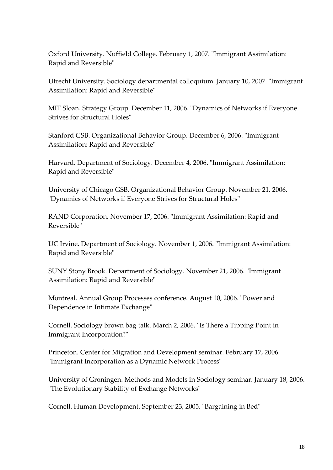Oxford University. Nuffield College. February 1, 2007. "Immigrant Assimilation: Rapid and Reversible"

Utrecht University. Sociology departmental colloquium. January 10, 2007. "Immigrant Assimilation: Rapid and Reversible"

MIT Sloan. Strategy Group. December 11, 2006. "Dynamics of Networks if Everyone Strives for Structural Holes"

Stanford GSB. Organizational Behavior Group. December 6, 2006. "Immigrant Assimilation: Rapid and Reversible"

Harvard. Department of Sociology. December 4, 2006. "Immigrant Assimilation: Rapid and Reversible"

University of Chicago GSB. Organizational Behavior Group. November 21, 2006. "Dynamics of Networks if Everyone Strives for Structural Holes"

RAND Corporation. November 17, 2006. "Immigrant Assimilation: Rapid and Reversible"

UC Irvine. Department of Sociology. November 1, 2006. "Immigrant Assimilation: Rapid and Reversible"

SUNY Stony Brook. Department of Sociology. November 21, 2006. "Immigrant Assimilation: Rapid and Reversible"

Montreal. Annual Group Processes conference. August 10, 2006. "Power and Dependence in Intimate Exchange"

Cornell. Sociology brown bag talk. March 2, 2006. "Is There a Tipping Point in Immigrant Incorporation?"

Princeton. Center for Migration and Development seminar. February 17, 2006. "Immigrant Incorporation as a Dynamic Network Process"

University of Groningen. Methods and Models in Sociology seminar. January 18, 2006. "The Evolutionary Stability of Exchange Networks"

Cornell. Human Development. September 23, 2005. "Bargaining in Bed"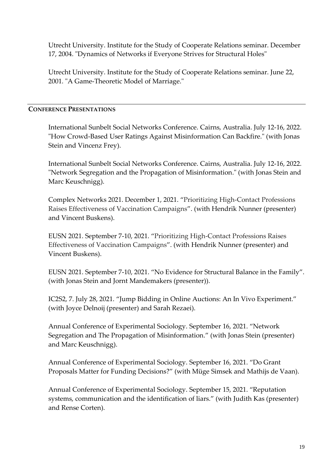Utrecht University. Institute for the Study of Cooperate Relations seminar. December 17, 2004. "Dynamics of Networks if Everyone Strives for Structural Holes"

Utrecht University. Institute for the Study of Cooperate Relations seminar. June 22, 2001. "A Game-Theoretic Model of Marriage."

### **CONFERENCE PRESENTATIONS**

International Sunbelt Social Networks Conference. Cairns, Australia. July 12-16, 2022. "How Crowd-Based User Ratings Against Misinformation Can Backfire." (with Jonas Stein and Vincenz Frey).

International Sunbelt Social Networks Conference. Cairns, Australia. July 12-16, 2022. "Network Segregation and the Propagation of Misinformation." (with Jonas Stein and Marc Keuschnigg).

Complex Networks 2021. December 1, 2021. "Prioritizing High-Contact Professions Raises Effectiveness of Vaccination Campaigns". (with Hendrik Nunner (presenter) and Vincent Buskens).

EUSN 2021. September 7-10, 2021. "Prioritizing High-Contact Professions Raises Effectiveness of Vaccination Campaigns". (with Hendrik Nunner (presenter) and Vincent Buskens).

EUSN 2021. September 7-10, 2021. "No Evidence for Structural Balance in the Family". (with Jonas Stein and Jornt Mandemakers (presenter)).

IC2S2, 7. July 28, 2021. "Jump Bidding in Online Auctions: An In Vivo Experiment." (with Joyce Delnoij (presenter) and Sarah Rezaei).

Annual Conference of Experimental Sociology. September 16, 2021. "Network Segregation and The Propagation of Misinformation." (with Jonas Stein (presenter) and Marc Keuschnigg).

Annual Conference of Experimental Sociology. September 16, 2021. "Do Grant Proposals Matter for Funding Decisions?" (with Müge Simsek and Mathijs de Vaan).

Annual Conference of Experimental Sociology. September 15, 2021. "Reputation systems, communication and the identification of liars." (with Judith Kas (presenter) and Rense Corten).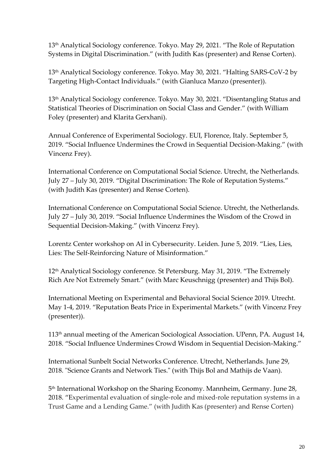13<sup>th</sup> Analytical Sociology conference. Tokyo. May 29, 2021. "The Role of Reputation Systems in Digital Discrimination." (with Judith Kas (presenter) and Rense Corten).

13th Analytical Sociology conference. Tokyo. May 30, 2021. "Halting SARS-CoV-2 by Targeting High-Contact Individuals." (with Gianluca Manzo (presenter)).

13th Analytical Sociology conference. Tokyo. May 30, 2021. "Disentangling Status and Statistical Theories of Discrimination on Social Class and Gender." (with William Foley (presenter) and Klarita Gerxhani).

Annual Conference of Experimental Sociology. EUI, Florence, Italy. September 5, 2019. "Social Influence Undermines the Crowd in Sequential Decision-Making." (with Vincenz Frey).

International Conference on Computational Social Science. Utrecht, the Netherlands. July 27 – July 30, 2019. "Digital Discrimination: The Role of Reputation Systems." (with Judith Kas (presenter) and Rense Corten).

International Conference on Computational Social Science. Utrecht, the Netherlands. July 27 – July 30, 2019. "Social Influence Undermines the Wisdom of the Crowd in Sequential Decision-Making." (with Vincenz Frey).

Lorentz Center workshop on AI in Cybersecurity. Leiden. June 5, 2019. "Lies, Lies, Lies: The Self-Reinforcing Nature of Misinformation."

12th Analytical Sociology conference. St Petersburg. May 31, 2019. "The Extremely Rich Are Not Extremely Smart." (with Marc Keuschnigg (presenter) and Thijs Bol).

International Meeting on Experimental and Behavioral Social Science 2019. Utrecht. May 1-4, 2019. "Reputation Beats Price in Experimental Markets." (with Vincenz Frey (presenter)).

113th annual meeting of the American Sociological Association. UPenn, PA. August 14, 2018. "Social Influence Undermines Crowd Wisdom in Sequential Decision-Making."

International Sunbelt Social Networks Conference. Utrecht, Netherlands. June 29, 2018. "Science Grants and Network Ties." (with Thijs Bol and Mathijs de Vaan).

5 th International Workshop on the Sharing Economy. Mannheim, Germany. June 28, 2018. "Experimental evaluation of single-role and mixed-role reputation systems in a Trust Game and a Lending Game." (with Judith Kas (presenter) and Rense Corten)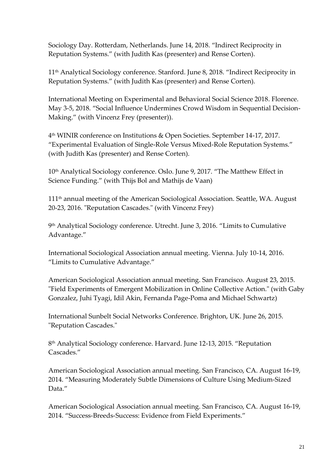Sociology Day. Rotterdam, Netherlands. June 14, 2018. "Indirect Reciprocity in Reputation Systems." (with Judith Kas (presenter) and Rense Corten).

11th Analytical Sociology conference. Stanford. June 8, 2018. "Indirect Reciprocity in Reputation Systems." (with Judith Kas (presenter) and Rense Corten).

International Meeting on Experimental and Behavioral Social Science 2018. Florence. May 3-5, 2018. "Social Influence Undermines Crowd Wisdom in Sequential Decision-Making." (with Vincenz Frey (presenter)).

4 th WINIR conference on Institutions & Open Societies. September 14-17, 2017. "Experimental Evaluation of Single-Role Versus Mixed-Role Reputation Systems." (with Judith Kas (presenter) and Rense Corten).

10<sup>th</sup> Analytical Sociology conference. Oslo. June 9, 2017. "The Matthew Effect in Science Funding." (with Thijs Bol and Mathijs de Vaan)

111th annual meeting of the American Sociological Association. Seattle, WA. August 20-23, 2016. "Reputation Cascades." (with Vincenz Frey)

9 th Analytical Sociology conference. Utrecht. June 3, 2016. "Limits to Cumulative Advantage."

International Sociological Association annual meeting. Vienna. July 10-14, 2016. "Limits to Cumulative Advantage."

American Sociological Association annual meeting. San Francisco. August 23, 2015. "Field Experiments of Emergent Mobilization in Online Collective Action." (with Gaby Gonzalez, Juhi Tyagi, Idil Akin, Fernanda Page-Poma and Michael Schwartz)

International Sunbelt Social Networks Conference. Brighton, UK. June 26, 2015. "Reputation Cascades."

8 th Analytical Sociology conference. Harvard. June 12-13, 2015. "Reputation Cascades."

American Sociological Association annual meeting. San Francisco, CA. August 16-19, 2014. "Measuring Moderately Subtle Dimensions of Culture Using Medium-Sized Data"

American Sociological Association annual meeting. San Francisco, CA. August 16-19, 2014. "Success-Breeds-Success: Evidence from Field Experiments."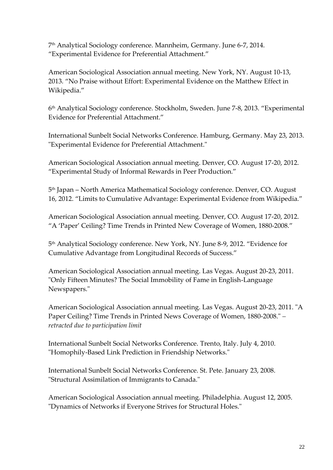7 th Analytical Sociology conference. Mannheim, Germany. June 6-7, 2014. "Experimental Evidence for Preferential Attachment."

American Sociological Association annual meeting. New York, NY. August 10-13, 2013. "No Praise without Effort: Experimental Evidence on the Matthew Effect in Wikipedia."

6 th Analytical Sociology conference. Stockholm, Sweden. June 7-8, 2013. "Experimental Evidence for Preferential Attachment."

International Sunbelt Social Networks Conference. Hamburg, Germany. May 23, 2013. "Experimental Evidence for Preferential Attachment."

American Sociological Association annual meeting. Denver, CO. August 17-20, 2012. "Experimental Study of Informal Rewards in Peer Production."

5 th Japan – North America Mathematical Sociology conference. Denver, CO. August 16, 2012. "Limits to Cumulative Advantage: Experimental Evidence from Wikipedia."

American Sociological Association annual meeting. Denver, CO. August 17-20, 2012. "A 'Paper' Ceiling? Time Trends in Printed New Coverage of Women, 1880-2008."

5 th Analytical Sociology conference. New York, NY. June 8-9, 2012. "Evidence for Cumulative Advantage from Longitudinal Records of Success."

American Sociological Association annual meeting. Las Vegas. August 20-23, 2011. "Only Fifteen Minutes? The Social Immobility of Fame in English-Language Newspapers."

American Sociological Association annual meeting. Las Vegas. August 20-23, 2011. "A Paper Ceiling? Time Trends in Printed News Coverage of Women, 1880-2008." *– retracted due to participation limit*

International Sunbelt Social Networks Conference. Trento, Italy. July 4, 2010. "Homophily-Based Link Prediction in Friendship Networks."

International Sunbelt Social Networks Conference. St. Pete. January 23, 2008. "Structural Assimilation of Immigrants to Canada."

American Sociological Association annual meeting. Philadelphia. August 12, 2005. "Dynamics of Networks if Everyone Strives for Structural Holes."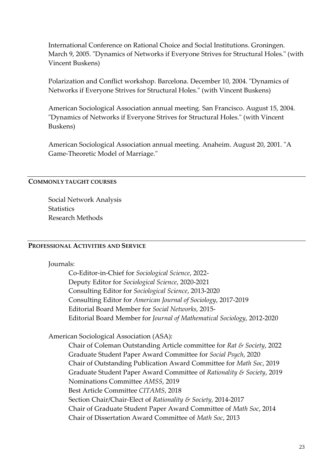International Conference on Rational Choice and Social Institutions. Groningen. March 9, 2005. "Dynamics of Networks if Everyone Strives for Structural Holes." (with Vincent Buskens)

Polarization and Conflict workshop. Barcelona. December 10, 2004. "Dynamics of Networks if Everyone Strives for Structural Holes." (with Vincent Buskens)

American Sociological Association annual meeting. San Francisco. August 15, 2004. "Dynamics of Networks if Everyone Strives for Structural Holes." (with Vincent Buskens)

American Sociological Association annual meeting. Anaheim. August 20, 2001. "A Game-Theoretic Model of Marriage."

### **COMMONLY TAUGHT COURSES**

Social Network Analysis **Statistics** Research Methods

#### **PROFESSIONAL ACTIVITIES AND SERVICE**

Journals:

Co-Editor-in-Chief for *Sociological Science*, 2022- Deputy Editor for *Sociological Science*, 2020-2021 Consulting Editor for *Sociological Science*, 2013-2020 Consulting Editor for *American Journal of Sociology*, 2017-2019 Editorial Board Member for *Social Networks,* 2015- Editorial Board Member for *Journal of Mathematical Sociology*, 2012-2020

American Sociological Association (ASA):

Chair of Coleman Outstanding Article committee for *Rat & Society*, 2022 Graduate Student Paper Award Committee for *Social Psych*, 2020 Chair of Outstanding Publication Award Committee for *Math Soc*, 2019 Graduate Student Paper Award Committee of *Rationality & Society*, 2019 Nominations Committee *AMSS*, 2019 Best Article Committee *CITAMS*, 2018 Section Chair/Chair-Elect of *Rationality & Society*, 2014-2017 Chair of Graduate Student Paper Award Committee of *Math Soc*, 2014 Chair of Dissertation Award Committee of *Math Soc*, 2013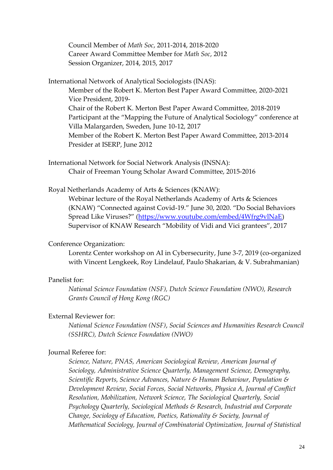Council Member of *Math Soc*, 2011-2014, 2018-2020 Career Award Committee Member for *Math Soc*, 2012 Session Organizer, 2014, 2015, 2017

International Network of Analytical Sociologists (INAS): Member of the Robert K. Merton Best Paper Award Committee, 2020-2021 Vice President, 2019- Chair of the Robert K. Merton Best Paper Award Committee, 2018-2019 Participant at the "Mapping the Future of Analytical Sociology" conference at Villa Malargarden, Sweden, June 10-12, 2017 Member of the Robert K. Merton Best Paper Award Committee, 2013-2014 Presider at ISERP, June 2012

International Network for Social Network Analysis (INSNA): Chair of Freeman Young Scholar Award Committee, 2015-2016

Royal Netherlands Academy of Arts & Sciences (KNAW): Webinar lecture of the Royal Netherlands Academy of Arts & Sciences (KNAW) "Connected against Covid-19." June 30, 2020. "Do Social Behaviors Spread Like Viruses?" ([https://www.youtube.com/embed/4Wfrg9vlNaE\)](https://www.youtube.com/embed/4Wfrg9vlNaE) Supervisor of KNAW Research "Mobility of Vidi and Vici grantees", 2017

# Conference Organization:

Lorentz Center workshop on AI in Cybersecurity, June 3-7, 2019 (co-organized with Vincent Lengkeek, Roy Lindelauf, Paulo Shakarian, & V. Subrahmanian)

### Panelist for:

*National Science Foundation (NSF), Dutch Science Foundation (NWO), Research Grants Council of Hong Kong (RGC)*

### External Reviewer for:

*National Science Foundation (NSF)*, *Social Sciences and Humanities Research Council (SSHRC), Dutch Science Foundation (NWO)*

# Journal Referee for:

*Science, Nature, PNAS, American Sociological Review, American Journal of Sociology, Administrative Science Quarterly, Management Science, Demography, Scientific Reports, Science Advances, Nature & Human Behaviour, Population & Development Review, Social Forces, Social Networks, Physica A, Journal of Conflict Resolution, Mobilization, Network Science, The Sociological Quarterly, Social Psychology Quarterly, Sociological Methods & Research, Industrial and Corporate Change, Sociology of Education, Poetics, Rationality & Society, Journal of Mathematical Sociology, Journal of Combinatorial Optimization, Journal of Statistical*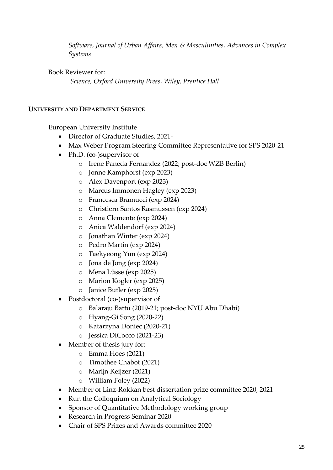*Software, Journal of Urban Affairs, Men & Masculinities, Advances in Complex Systems*

Book Reviewer for:

*Science, Oxford University Press, Wiley, Prentice Hall*

### **UNIVERSITY AND DEPARTMENT SERVICE**

European University Institute

- Director of Graduate Studies, 2021-
- Max Weber Program Steering Committee Representative for SPS 2020-21
- Ph.D. (co-)supervisor of
	- o Irene Paneda Fernandez (2022; post-doc WZB Berlin)
	- o Jonne Kamphorst (exp 2023)
	- o Alex Davenport (exp 2023)
	- o Marcus Immonen Hagley (exp 2023)
	- o Francesca Bramucci (exp 2024)
	- o Christiern Santos Rasmussen (exp 2024)
	- o Anna Clemente (exp 2024)
	- o Anica Waldendorf (exp 2024)
	- o Jonathan Winter (exp 2024)
	- o Pedro Martin (exp 2024)
	- o Taekyeong Yun (exp 2024)
	- o Jona de Jong (exp 2024)
	- o Mena Lüsse (exp 2025)
	- o Marion Kogler (exp 2025)
	- o Janice Butler (exp 2025)
- Postdoctoral (co-)supervisor of
	- o Balaraju Battu (2019-21; post-doc NYU Abu Dhabi)
	- o Hyang-Gi Song (2020-22)
	- o Katarzyna Doniec (2020-21)
	- o Jessica DiCocco (2021-23)
- Member of thesis jury for:
	- o Emma Hoes (2021)
	- o Timothee Chabot (2021)
	- o Marijn Keijzer (2021)
	- o William Foley (2022)
- Member of Linz-Rokkan best dissertation prize committee 2020, 2021
- Run the Colloquium on Analytical Sociology
- Sponsor of Quantitative Methodology working group
- Research in Progress Seminar 2020
- Chair of SPS Prizes and Awards committee 2020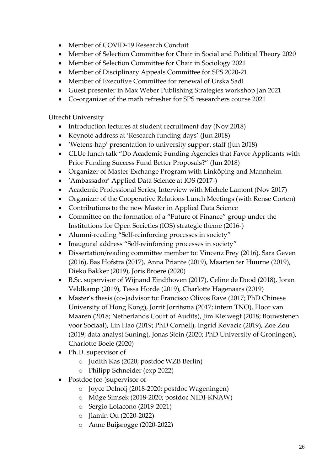- Member of COVID-19 Research Conduit
- Member of Selection Committee for Chair in Social and Political Theory 2020
- Member of Selection Committee for Chair in Sociology 2021
- Member of Disciplinary Appeals Committee for SPS 2020-21
- Member of Executive Committee for renewal of Urska Sadl
- Guest presenter in Max Weber Publishing Strategies workshop Jan 2021
- Co-organizer of the math refresher for SPS researchers course 2021

Utrecht University

- Introduction lectures at student recruitment day (Nov 2018)
- Keynote address at 'Research funding days' (Jun 2018)
- 'Wetens-hap' presentation to university support staff (Jun 2018)
- CLUe lunch talk "Do Academic Funding Agencies that Favor Applicants with Prior Funding Success Fund Better Proposals?" (Jun 2018)
- Organizer of Master Exchange Program with Linköping and Mannheim
- 'Ambassador' Applied Data Science at IOS (2017-)
- Academic Professional Series, Interview with Michele Lamont (Nov 2017)
- Organizer of the Cooperative Relations Lunch Meetings (with Rense Corten)
- Contributions to the new Master in Applied Data Science
- Committee on the formation of a "Future of Finance" group under the Institutions for Open Societies (IOS) strategic theme (2016-)
- Alumni-reading "Self-reinforcing processes in society"
- Inaugural address "Self-reinforcing processes in society"
- Dissertation/reading committee member to: Vincenz Frey (2016), Sara Geven (2016), Bas Hofstra (2017), Anna Priante (2019), Maarten ter Huurne (2019), Dieko Bakker (2019), Joris Broere (2020)
- B.Sc. supervisor of Wijnand Eindthoven (2017), Celine de Dood (2018), Joran Veldkamp (2019), Tessa Horde (2019), Charlotte Hagenaars (2019)
- Master's thesis (co-)advisor to: Francisco Olivos Rave (2017; PhD Chinese University of Hong Kong), Jorrit Jorritsma (2017; intern TNO), Floor van Maaren (2018; Netherlands Court of Audits), Jim Kleiwegt (2018; Bouwstenen voor Sociaal), Lin Hao (2019; PhD Cornell), Ingrid Kovacic (2019), Zoe Zou (2019; data analyst Suning), Jonas Stein (2020; PhD University of Groningen), Charlotte Boele (2020)
- Ph.D. supervisor of
	- o Judith Kas (2020; postdoc WZB Berlin)
	- o Philipp Schneider (exp 2022)
- Postdoc (co-)supervisor of
	- o Joyce Delnoij (2018-2020; postdoc Wageningen)
	- o Müge Simsek (2018-2020; postdoc NIDI-KNAW)
	- o Sergio LoIacono (2019-2021)
	- o Jiamin Ou (2020-2022)
	- o Anne Buijsrogge (2020-2022)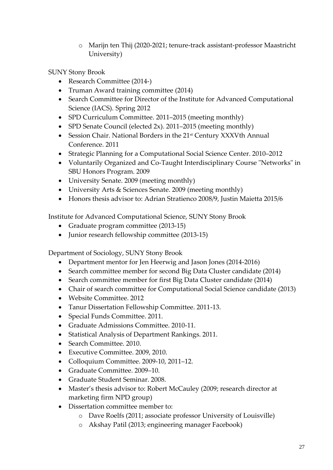o Marijn ten Thij (2020-2021; tenure-track assistant-professor Maastricht University)

SUNY Stony Brook

- Research Committee (2014-)
- Truman Award training committee (2014)
- Search Committee for Director of the Institute for Advanced Computational Science (IACS). Spring 2012
- SPD Curriculum Committee. 2011–2015 (meeting monthly)
- SPD Senate Council (elected 2x). 2011–2015 (meeting monthly)
- Session Chair. National Borders in the 21<sup>st</sup> Century XXXVth Annual Conference. 2011
- Strategic Planning for a Computational Social Science Center. 2010–2012
- Voluntarily Organized and Co-Taught Interdisciplinary Course "Networks" in SBU Honors Program. 2009
- University Senate. 2009 (meeting monthly)
- University Arts & Sciences Senate. 2009 (meeting monthly)
- Honors thesis advisor to: Adrian Stratienco 2008/9, Justin Maietta 2015/6

Institute for Advanced Computational Science, SUNY Stony Brook

- Graduate program committee (2013-15)
- Junior research fellowship committee (2013-15)

Department of Sociology, SUNY Stony Brook

- Department mentor for Jen Heerwig and Jason Jones (2014-2016)
- Search committee member for second Big Data Cluster candidate (2014)
- Search committee member for first Big Data Cluster candidate (2014)
- Chair of search committee for Computational Social Science candidate (2013)
- Website Committee. 2012
- Tanur Dissertation Fellowship Committee. 2011-13.
- Special Funds Committee. 2011.
- Graduate Admissions Committee. 2010-11.
- Statistical Analysis of Department Rankings. 2011.
- Search Committee. 2010.
- Executive Committee. 2009, 2010.
- Colloquium Committee. 2009-10, 2011–12.
- Graduate Committee. 2009–10.
- Graduate Student Seminar. 2008.
- Master's thesis advisor to: Robert McCauley (2009; research director at marketing firm NPD group)
- Dissertation committee member to:
	- o Dave Roelfs (2011; associate professor University of Louisville)
	- o Akshay Patil (2013; engineering manager Facebook)